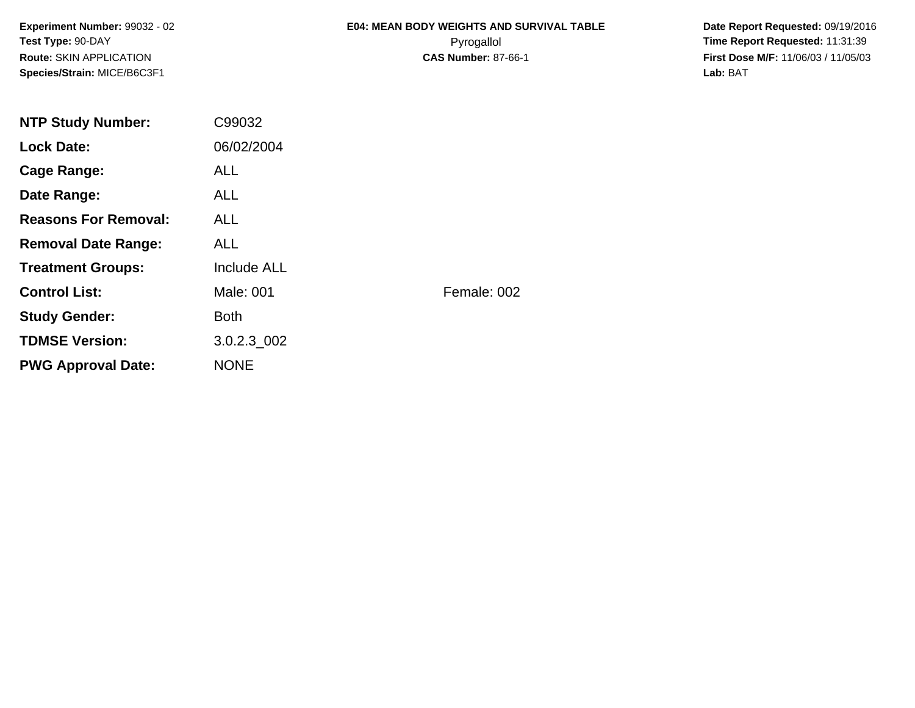**Experiment Number:** 99032 - 02**Test Type:** 90-DAY**Route:** SKIN APPLICATION**Species/Strain:** MICE/B6C3F1

## **E04: MEAN BODY WEIGHTS AND SURVIVAL TABLE**Pyrogallol **Time Report Requested:** 11:31:39

 **Date Report Requested:** 09/19/2016 **First Dose M/F:** 11/06/03 / 11/05/03<br>Lab: BAT **Lab:** BAT

| <b>NTP Study Number:</b>    | C99032      |             |
|-----------------------------|-------------|-------------|
| <b>Lock Date:</b>           | 06/02/2004  |             |
| <b>Cage Range:</b>          | <b>ALL</b>  |             |
| Date Range:                 | ALL.        |             |
| <b>Reasons For Removal:</b> | ALL.        |             |
| <b>Removal Date Range:</b>  | ALL.        |             |
| <b>Treatment Groups:</b>    | Include ALL |             |
| <b>Control List:</b>        | Male: 001   | Female: 002 |
| <b>Study Gender:</b>        | <b>Both</b> |             |
| <b>TDMSE Version:</b>       | 3.0.2.3 002 |             |
| <b>PWG Approval Date:</b>   | <b>NONE</b> |             |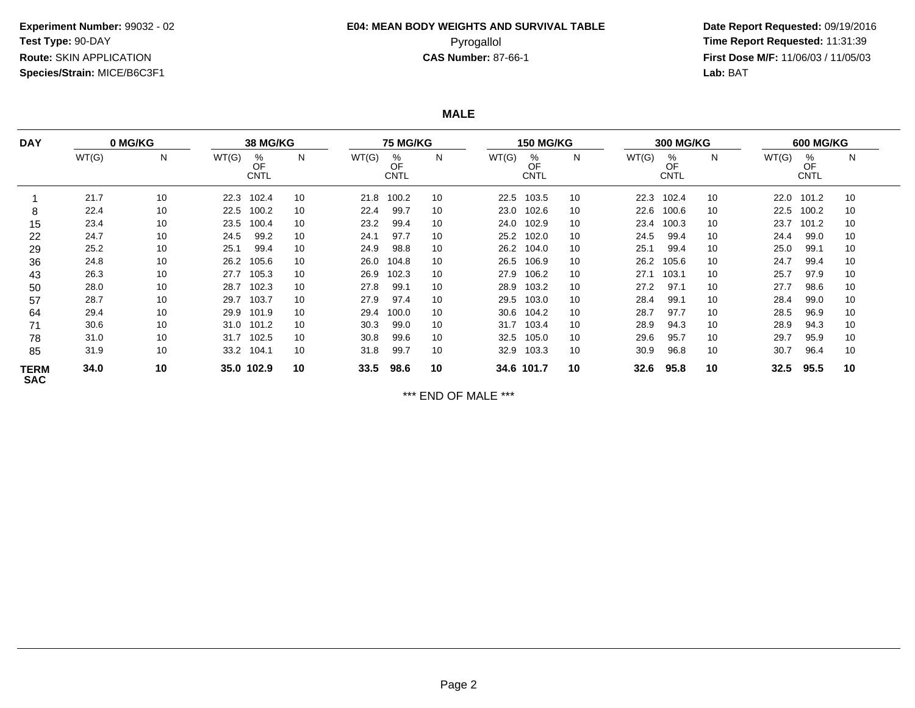# **E04: MEAN BODY WEIGHTS AND SURVIVAL TABLE**

 **Date Report Requested:** 09/19/2016 Pyrogallol **Time Report Requested:** 11:31:39 **First Dose M/F:** 11/06/03 / 11/05/03<br>**Lab:** BAT **Lab:** BAT

**MALE**

| <b>DAY</b>                | 0 MG/KG |    | <b>38 MG/KG</b>          |            |       | <b>75 MG/KG</b>        |    |       | <b>150 MG/KG</b>       |    |       | <b>300 MG/KG</b>       |    |       | <b>600 MG/KG</b>       |    |  |
|---------------------------|---------|----|--------------------------|------------|-------|------------------------|----|-------|------------------------|----|-------|------------------------|----|-------|------------------------|----|--|
|                           | WT(G)   | N  | WT(G)<br>%<br>OF<br>CNTL | N          | WT(G) | %<br>OF<br><b>CNTL</b> | N  | WT(G) | %<br>OF<br><b>CNTL</b> | N  | WT(G) | %<br>OF<br><b>CNTL</b> | N  | WT(G) | %<br>OF<br><b>CNTL</b> | N  |  |
|                           | 21.7    | 10 | 22.3<br>102.4            | 10         | 21.8  | 100.2                  | 10 | 22.5  | 103.5                  | 10 | 22.3  | 102.4                  | 10 | 22.0  | 101.2                  | 10 |  |
| 8                         | 22.4    | 10 | 100.2<br>22.5            | 10         | 22.4  | 99.7                   | 10 | 23.0  | 102.6                  | 10 | 22.6  | 100.6                  | 10 | 22.5  | 100.2                  | 10 |  |
| 15                        | 23.4    | 10 | 23.5<br>100.4            | 10         | 23.2  | 99.4                   | 10 | 24.0  | 102.9                  | 10 | 23.4  | 100.3                  | 10 | 23.7  | 101.2                  | 10 |  |
| 22                        | 24.7    | 10 | 24.5                     | 99.2<br>10 | 24.1  | 97.7                   | 10 | 25.2  | 102.0                  | 10 | 24.5  | 99.4                   | 10 | 24.4  | 99.0                   | 10 |  |
| 29                        | 25.2    | 10 | 25.1                     | 99.4<br>10 | 24.9  | 98.8                   | 10 | 26.2  | 104.0                  | 10 | 25.1  | 99.4                   | 10 | 25.0  | 99.1                   | 10 |  |
| 36                        | 24.8    | 10 | 105.6<br>26.2            | 10         | 26.0  | 104.8                  | 10 | 26.5  | 106.9                  | 10 | 26.2  | 105.6                  | 10 | 24.7  | 99.4                   | 10 |  |
| 43                        | 26.3    | 10 | 105.3<br>27.7            | 10         | 26.9  | 102.3                  | 10 | 27.9  | 106.2                  | 10 | 27.1  | 103.1                  | 10 | 25.7  | 97.9                   | 10 |  |
| 50                        | 28.0    | 10 | 102.3<br>28.7            | 10         | 27.8  | 99.1                   | 10 | 28.9  | 103.2                  | 10 | 27.2  | 97.1                   | 10 | 27.7  | 98.6                   | 10 |  |
| 57                        | 28.7    | 10 | 103.7<br>29.7            | 10         | 27.9  | 97.4                   | 10 | 29.5  | 103.0                  | 10 | 28.4  | 99.1                   | 10 | 28.4  | 99.0                   | 10 |  |
| 64                        | 29.4    | 10 | 101.9<br>29.9            | 10         | 29.4  | 100.0                  | 10 | 30.6  | 104.2                  | 10 | 28.7  | 97.7                   | 10 | 28.5  | 96.9                   | 10 |  |
| 71                        | 30.6    | 10 | 101.2<br>31.0            | 10         | 30.3  | 99.0                   | 10 | 31.7  | 103.4                  | 10 | 28.9  | 94.3                   | 10 | 28.9  | 94.3                   | 10 |  |
| 78                        | 31.0    | 10 | 31.7 102.5               | 10         | 30.8  | 99.6                   | 10 | 32.5  | 105.0                  | 10 | 29.6  | 95.7                   | 10 | 29.7  | 95.9                   | 10 |  |
| 85                        | 31.9    | 10 | 33.2 104.1               | 10         | 31.8  | 99.7                   | 10 | 32.9  | 103.3                  | 10 | 30.9  | 96.8                   | 10 | 30.7  | 96.4                   | 10 |  |
| <b>TERM</b><br><b>SAC</b> | 34.0    | 10 | 35.0 102.9               | 10         | 33.5  | 98.6                   | 10 |       | 34.6 101.7             | 10 | 32.6  | 95.8                   | 10 | 32.5  | 95.5                   | 10 |  |

\*\*\* END OF MALE \*\*\*